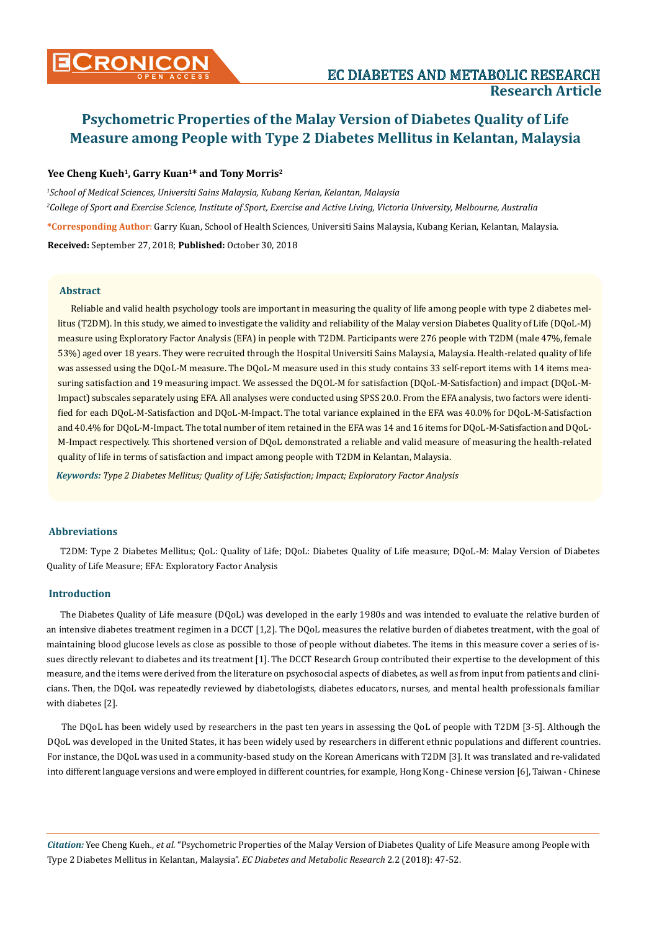**CRONICON EC DIABETES AND METABOLIC RESEARCH** 

**Research Article** 

# Yee Cheng Kueh<sup>1</sup>, Garry Kuan<sup>1\*</sup> and Tony Morris<sup>2</sup>

*1 School of Medical Sciences, Universiti Sains Malaysia, Kubang Kerian, Kelantan, Malaysia 2 College of Sport and Exercise Science, Institute of Sport, Exercise and Active Living, Victoria University, Melbourne, Australia* **\*Corresponding Author**: Garry Kuan, School of Health Sciences, Universiti Sains Malaysia, Kubang Kerian, Kelantan, Malaysia. **Received:** September 27, 2018; **Published:** October 30, 2018

**Abstract**

Reliable and valid health psychology tools are important in measuring the quality of life among people with type 2 diabetes mellitus (T2DM). In this study, we aimed to investigate the validity and reliability of the Malay version Diabetes Quality of Life (DQoL-M) measure using Exploratory Factor Analysis (EFA) in people with T2DM. Participants were 276 people with T2DM (male 47%, female 53%) aged over 18 years. They were recruited through the Hospital Universiti Sains Malaysia, Malaysia. Health-related quality of life was assessed using the DQoL-M measure. The DQoL-M measure used in this study contains 33 self-report items with 14 items measuring satisfaction and 19 measuring impact. We assessed the DQOL-M for satisfaction (DQoL-M-Satisfaction) and impact (DQoL-M-Impact) subscales separately using EFA. All analyses were conducted using SPSS 20.0. From the EFA analysis, two factors were identified for each DQoL-M-Satisfaction and DQoL-M-Impact. The total variance explained in the EFA was 40.0% for DQoL-M-Satisfaction and 40.4% for DQoL-M-Impact. The total number of item retained in the EFA was 14 and 16 items for DQoL-M-Satisfaction and DQoL-M-Impact respectively. This shortened version of DQoL demonstrated a reliable and valid measure of measuring the health-related quality of life in terms of satisfaction and impact among people with T2DM in Kelantan, Malaysia.

*Keywords: Type 2 Diabetes Mellitus; Quality of Life; Satisfaction; Impact; Exploratory Factor Analysis*

# **Abbreviations**

T2DM: Type 2 Diabetes Mellitus; QoL: Quality of Life; DQoL: Diabetes Quality of Life measure; DQoL-M: Malay Version of Diabetes Quality of Life Measure; EFA: Exploratory Factor Analysis

#### **Introduction**

The Diabetes Quality of Life measure (DQoL) was developed in the early 1980s and was intended to evaluate the relative burden of an intensive diabetes treatment regimen in a DCCT [1,2]. The DQoL measures the relative burden of diabetes treatment, with the goal of maintaining blood glucose levels as close as possible to those of people without diabetes. The items in this measure cover a series of issues directly relevant to diabetes and its treatment [1]. The DCCT Research Group contributed their expertise to the development of this measure, and the items were derived from the literature on psychosocial aspects of diabetes, as well as from input from patients and clinicians. Then, the DQoL was repeatedly reviewed by diabetologists, diabetes educators, nurses, and mental health professionals familiar with diabetes [2].

The DQoL has been widely used by researchers in the past ten years in assessing the QoL of people with T2DM [3-5]. Although the DQoL was developed in the United States, it has been widely used by researchers in different ethnic populations and different countries. For instance, the DQoL was used in a community-based study on the Korean Americans with T2DM [3]. It was translated and re-validated into different language versions and were employed in different countries, for example, Hong Kong - Chinese version [6], Taiwan - Chinese

*Citation:* Yee Cheng Kueh*., et al.* "Psychometric Properties of the Malay Version of Diabetes Quality of Life Measure among People with Type 2 Diabetes Mellitus in Kelantan, Malaysia". *EC Diabetes and Metabolic Research* 2.2 (2018): 47-52.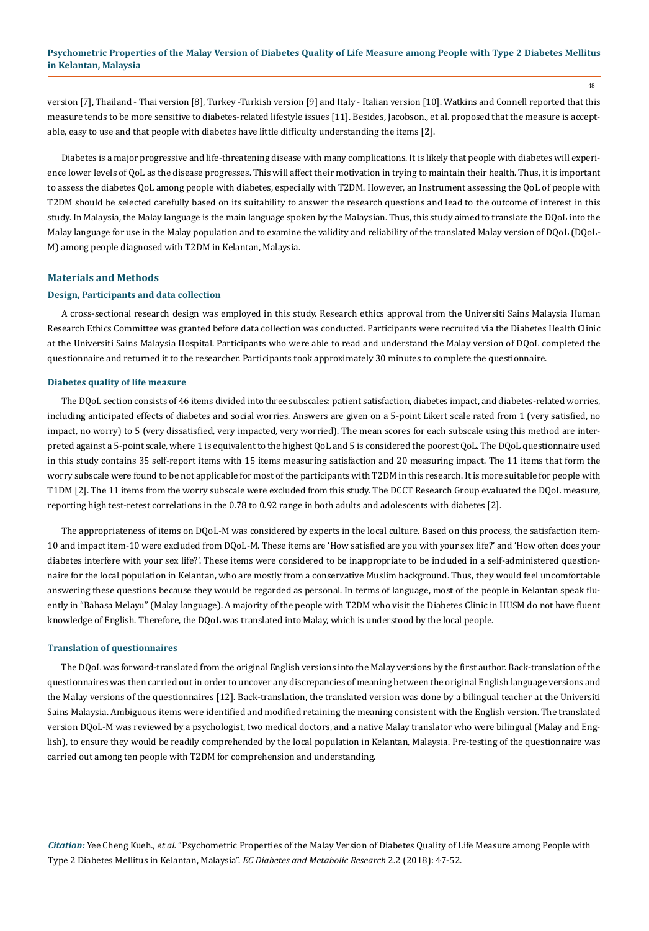version [7], Thailand - Thai version [8], Turkey -Turkish version [9] and Italy - Italian version [10]. Watkins and Connell reported that this measure tends to be more sensitive to diabetes-related lifestyle issues [11]. Besides, Jacobson., et al. proposed that the measure is acceptable, easy to use and that people with diabetes have little difficulty understanding the items [2].

Diabetes is a major progressive and life-threatening disease with many complications. It is likely that people with diabetes will experience lower levels of QoL as the disease progresses. This will affect their motivation in trying to maintain their health. Thus, it is important to assess the diabetes QoL among people with diabetes, especially with T2DM. However, an Instrument assessing the QoL of people with T2DM should be selected carefully based on its suitability to answer the research questions and lead to the outcome of interest in this study. In Malaysia, the Malay language is the main language spoken by the Malaysian. Thus, this study aimed to translate the DQoL into the Malay language for use in the Malay population and to examine the validity and reliability of the translated Malay version of DQoL (DQoL-M) among people diagnosed with T2DM in Kelantan, Malaysia.

#### **Materials and Methods**

#### **Design, Participants and data collection**

A cross-sectional research design was employed in this study. Research ethics approval from the Universiti Sains Malaysia Human Research Ethics Committee was granted before data collection was conducted. Participants were recruited via the Diabetes Health Clinic at the Universiti Sains Malaysia Hospital. Participants who were able to read and understand the Malay version of DQoL completed the questionnaire and returned it to the researcher. Participants took approximately 30 minutes to complete the questionnaire.

#### **Diabetes quality of life measure**

The DQoL section consists of 46 items divided into three subscales: patient satisfaction, diabetes impact, and diabetes-related worries, including anticipated effects of diabetes and social worries. Answers are given on a 5-point Likert scale rated from 1 (very satisfied, no impact, no worry) to 5 (very dissatisfied, very impacted, very worried). The mean scores for each subscale using this method are interpreted against a 5-point scale, where 1 is equivalent to the highest QoL and 5 is considered the poorest QoL. The DQoL questionnaire used in this study contains 35 self-report items with 15 items measuring satisfaction and 20 measuring impact. The 11 items that form the worry subscale were found to be not applicable for most of the participants with T2DM in this research. It is more suitable for people with T1DM [2]. The 11 items from the worry subscale were excluded from this study. The DCCT Research Group evaluated the DQoL measure, reporting high test-retest correlations in the 0.78 to 0.92 range in both adults and adolescents with diabetes [2].

The appropriateness of items on DQoL-M was considered by experts in the local culture. Based on this process, the satisfaction item-10 and impact item-10 were excluded from DQoL-M. These items are 'How satisfied are you with your sex life?' and 'How often does your diabetes interfere with your sex life?'. These items were considered to be inappropriate to be included in a self-administered questionnaire for the local population in Kelantan, who are mostly from a conservative Muslim background. Thus, they would feel uncomfortable answering these questions because they would be regarded as personal. In terms of language, most of the people in Kelantan speak fluently in "Bahasa Melayu" (Malay language). A majority of the people with T2DM who visit the Diabetes Clinic in HUSM do not have fluent knowledge of English. Therefore, the DQoL was translated into Malay, which is understood by the local people.

#### **Translation of questionnaires**

The DQoL was forward-translated from the original English versions into the Malay versions by the first author. Back-translation of the questionnaires was then carried out in order to uncover any discrepancies of meaning between the original English language versions and the Malay versions of the questionnaires [12]. Back-translation, the translated version was done by a bilingual teacher at the Universiti Sains Malaysia. Ambiguous items were identified and modified retaining the meaning consistent with the English version. The translated version DQoL-M was reviewed by a psychologist, two medical doctors, and a native Malay translator who were bilingual (Malay and English), to ensure they would be readily comprehended by the local population in Kelantan, Malaysia. Pre-testing of the questionnaire was carried out among ten people with T2DM for comprehension and understanding.

*Citation:* Yee Cheng Kueh*., et al.* "Psychometric Properties of the Malay Version of Diabetes Quality of Life Measure among People with Type 2 Diabetes Mellitus in Kelantan, Malaysia". *EC Diabetes and Metabolic Research* 2.2 (2018): 47-52.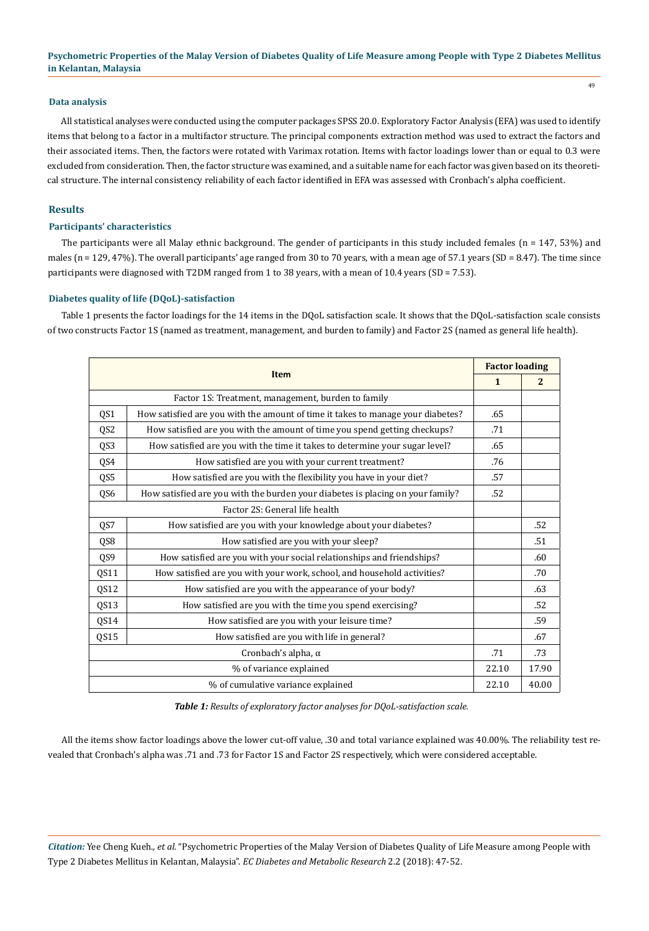#### **Data analysis**

All statistical analyses were conducted using the computer packages SPSS 20.0. Exploratory Factor Analysis (EFA) was used to identify items that belong to a factor in a multifactor structure. The principal components extraction method was used to extract the factors and their associated items. Then, the factors were rotated with Varimax rotation. Items with factor loadings lower than or equal to 0.3 were excluded from consideration. Then, the factor structure was examined, and a suitable name for each factor was given based on its theoretical structure. The internal consistency reliability of each factor identified in EFA was assessed with Cronbach's alpha coefficient.

## **Results**

# **Participants' characteristics**

The participants were all Malay ethnic background. The gender of participants in this study included females (n = 147, 53%) and males ( $n = 129, 47\%$ ). The overall participants' age ranged from 30 to 70 years, with a mean age of 57.1 years (SD = 8.47). The time since participants were diagnosed with T2DM ranged from 1 to 38 years, with a mean of 10.4 years (SD = 7.53).

# **Diabetes quality of life (DQoL)-satisfaction**

Table 1 presents the factor loadings for the 14 items in the DQoL satisfaction scale. It shows that the DQoL-satisfaction scale consists of two constructs Factor 1S (named as treatment, management, and burden to family) and Factor 2S (named as general life health).

| <b>Item</b>                                        |                                                                                 | <b>Factor loading</b> |              |
|----------------------------------------------------|---------------------------------------------------------------------------------|-----------------------|--------------|
|                                                    |                                                                                 | $\mathbf{1}$          | $\mathbf{2}$ |
| Factor 1S: Treatment, management, burden to family |                                                                                 |                       |              |
| QS1                                                | How satisfied are you with the amount of time it takes to manage your diabetes? | .65                   |              |
| QS <sub>2</sub>                                    | How satisfied are you with the amount of time you spend getting checkups?       | .71                   |              |
| QS3                                                | How satisfied are you with the time it takes to determine your sugar level?     | .65                   |              |
| QS4                                                | How satisfied are you with your current treatment?                              | .76                   |              |
| QS5                                                | How satisfied are you with the flexibility you have in your diet?               | .57                   |              |
| QS6                                                | How satisfied are you with the burden your diabetes is placing on your family?  | .52                   |              |
| Factor 2S: General life health                     |                                                                                 |                       |              |
| QS7                                                | How satisfied are you with your knowledge about your diabetes?                  |                       | .52          |
| QS8                                                | How satisfied are you with your sleep?                                          |                       | .51          |
| QS9                                                | How satisfied are you with your social relationships and friendships?           |                       | .60          |
| QS11                                               | How satisfied are you with your work, school, and household activities?         |                       | .70          |
| QS12                                               | How satisfied are you with the appearance of your body?                         |                       | .63          |
| QS13                                               | How satisfied are you with the time you spend exercising?                       |                       | .52          |
| QS14                                               | How satisfied are you with your leisure time?                                   |                       | .59          |
| QS15                                               | How satisfied are you with life in general?                                     |                       | .67          |
| Cronbach's alpha, $\alpha$                         |                                                                                 | .71                   | .73          |
| % of variance explained                            |                                                                                 | 22.10                 | 17.90        |
| % of cumulative variance explained                 |                                                                                 | 22.10                 | 40.00        |

*Table 1: Results of exploratory factor analyses for DQoL-satisfaction scale.*

All the items show factor loadings above the lower cut-off value, .30 and total variance explained was 40.00%. The reliability test revealed that Cronbach's alpha was .71 and .73 for Factor 1S and Factor 2S respectively, which were considered acceptable.

*Citation:* Yee Cheng Kueh*., et al.* "Psychometric Properties of the Malay Version of Diabetes Quality of Life Measure among People with Type 2 Diabetes Mellitus in Kelantan, Malaysia". *EC Diabetes and Metabolic Research* 2.2 (2018): 47-52.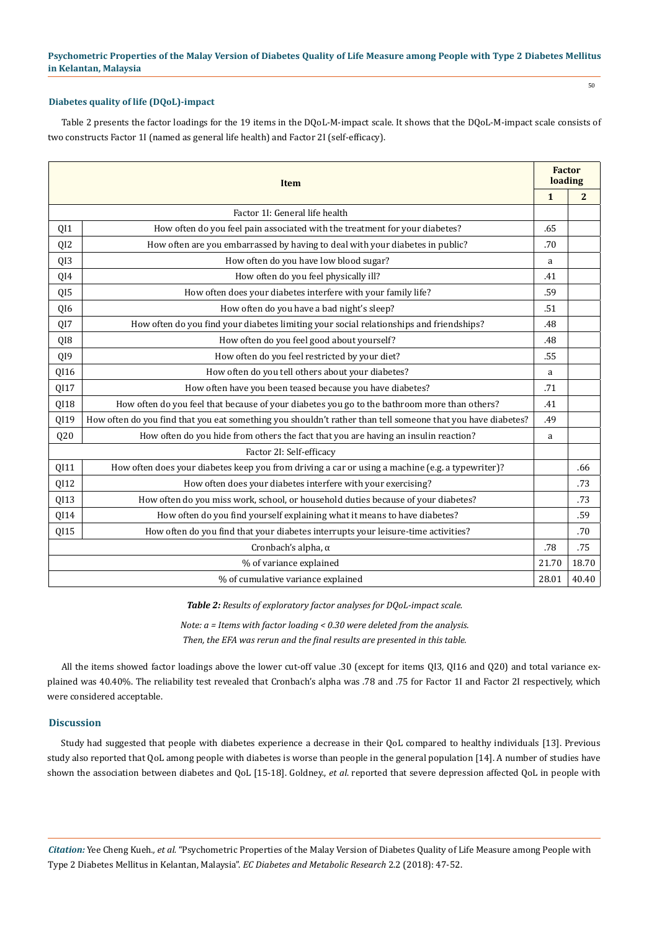#### **Diabetes quality of life (DQoL)-impact**

Table 2 presents the factor loadings for the 19 items in the DQoL-M-impact scale. It shows that the DQoL-M-impact scale consists of two constructs Factor 1I (named as general life health) and Factor 2I (self-efficacy).

| <b>Item</b>                        |                                                                                                             | <b>Factor</b><br>loading |                |
|------------------------------------|-------------------------------------------------------------------------------------------------------------|--------------------------|----------------|
|                                    |                                                                                                             | $\mathbf{1}$             | $\overline{2}$ |
|                                    | Factor 11: General life health                                                                              |                          |                |
| QI1                                | How often do you feel pain associated with the treatment for your diabetes?                                 | .65                      |                |
| QI <sub>2</sub>                    | How often are you embarrassed by having to deal with your diabetes in public?                               | .70                      |                |
| QI3                                | How often do you have low blood sugar?                                                                      | a                        |                |
| QI4                                | How often do you feel physically ill?                                                                       | .41                      |                |
| QI5                                | How often does your diabetes interfere with your family life?                                               | .59                      |                |
| QI6                                | How often do you have a bad night's sleep?                                                                  | .51                      |                |
| QI7                                | How often do you find your diabetes limiting your social relationships and friendships?                     | .48                      |                |
| QI8                                | How often do you feel good about yourself?                                                                  | .48                      |                |
| QI9                                | How often do you feel restricted by your diet?                                                              | .55                      |                |
| QI16                               | How often do you tell others about your diabetes?                                                           | a                        |                |
| QI17                               | How often have you been teased because you have diabetes?                                                   | .71                      |                |
| QI18                               | How often do you feel that because of your diabetes you go to the bathroom more than others?                | .41                      |                |
| QI19                               | How often do you find that you eat something you shouldn't rather than tell someone that you have diabetes? | .49                      |                |
| Q20                                | How often do you hide from others the fact that you are having an insulin reaction?                         | a                        |                |
|                                    | Factor 21: Self-efficacy                                                                                    |                          |                |
| QI11                               | How often does your diabetes keep you from driving a car or using a machine (e.g. a typewriter)?            |                          | .66            |
| QI12                               | How often does your diabetes interfere with your exercising?                                                |                          | .73            |
| QI13                               | How often do you miss work, school, or household duties because of your diabetes?                           |                          | .73            |
| QI14                               | How often do you find yourself explaining what it means to have diabetes?                                   |                          | .59            |
| QI15                               | How often do you find that your diabetes interrupts your leisure-time activities?                           |                          | .70            |
| Cronbach's alpha, $\alpha$         |                                                                                                             | .78                      | .75            |
| % of variance explained            |                                                                                                             | 21.70                    | 18.70          |
| % of cumulative variance explained |                                                                                                             | 28.01                    | 40.40          |

*Table 2: Results of exploratory factor analyses for DQoL-impact scale.* 

*Note: a = Items with factor loading < 0.30 were deleted from the analysis. Then, the EFA was rerun and the final results are presented in this table.*

All the items showed factor loadings above the lower cut-off value .30 (except for items QI3, QI16 and Q20) and total variance explained was 40.40%. The reliability test revealed that Cronbach's alpha was .78 and .75 for Factor 1I and Factor 2I respectively, which were considered acceptable.

# **Discussion**

Study had suggested that people with diabetes experience a decrease in their QoL compared to healthy individuals [13]. Previous study also reported that QoL among people with diabetes is worse than people in the general population [14]. A number of studies have shown the association between diabetes and QoL [15-18]. Goldney., *et al*. reported that severe depression affected QoL in people with

*Citation:* Yee Cheng Kueh*., et al.* "Psychometric Properties of the Malay Version of Diabetes Quality of Life Measure among People with Type 2 Diabetes Mellitus in Kelantan, Malaysia". *EC Diabetes and Metabolic Research* 2.2 (2018): 47-52.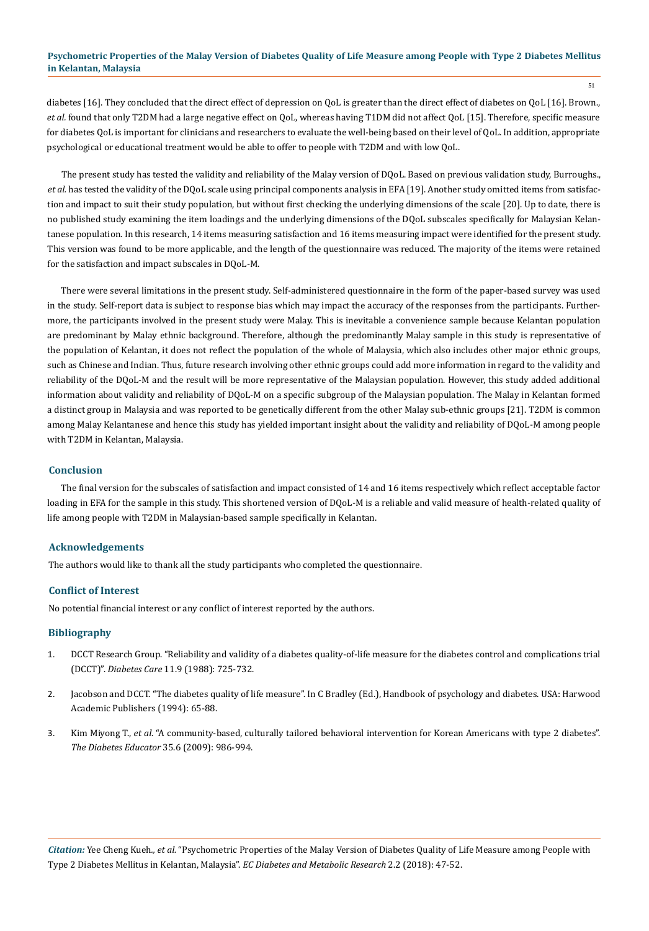diabetes [16]. They concluded that the direct effect of depression on QoL is greater than the direct effect of diabetes on QoL [16]. Brown., *et al.* found that only T2DM had a large negative effect on QoL, whereas having T1DM did not affect QoL [15]. Therefore, specific measure for diabetes QoL is important for clinicians and researchers to evaluate the well-being based on their level of QoL. In addition, appropriate psychological or educational treatment would be able to offer to people with T2DM and with low QoL.

The present study has tested the validity and reliability of the Malay version of DQoL. Based on previous validation study, Burroughs., *et al.* has tested the validity of the DQoL scale using principal components analysis in EFA [19]. Another study omitted items from satisfaction and impact to suit their study population, but without first checking the underlying dimensions of the scale [20]. Up to date, there is no published study examining the item loadings and the underlying dimensions of the DQoL subscales specifically for Malaysian Kelantanese population. In this research, 14 items measuring satisfaction and 16 items measuring impact were identified for the present study. This version was found to be more applicable, and the length of the questionnaire was reduced. The majority of the items were retained for the satisfaction and impact subscales in DQoL-M.

There were several limitations in the present study. Self-administered questionnaire in the form of the paper-based survey was used in the study. Self-report data is subject to response bias which may impact the accuracy of the responses from the participants. Furthermore, the participants involved in the present study were Malay. This is inevitable a convenience sample because Kelantan population are predominant by Malay ethnic background. Therefore, although the predominantly Malay sample in this study is representative of the population of Kelantan, it does not reflect the population of the whole of Malaysia, which also includes other major ethnic groups, such as Chinese and Indian. Thus, future research involving other ethnic groups could add more information in regard to the validity and reliability of the DQoL-M and the result will be more representative of the Malaysian population. However, this study added additional information about validity and reliability of DQoL-M on a specific subgroup of the Malaysian population. The Malay in Kelantan formed a distinct group in Malaysia and was reported to be genetically different from the other Malay sub-ethnic groups [21]. T2DM is common among Malay Kelantanese and hence this study has yielded important insight about the validity and reliability of DQoL-M among people with T2DM in Kelantan, Malaysia.

## **Conclusion**

The final version for the subscales of satisfaction and impact consisted of 14 and 16 items respectively which reflect acceptable factor loading in EFA for the sample in this study. This shortened version of DQoL-M is a reliable and valid measure of health-related quality of life among people with T2DM in Malaysian-based sample specifically in Kelantan.

#### **Acknowledgements**

The authors would like to thank all the study participants who completed the questionnaire.

#### **Conflict of Interest**

No potential financial interest or any conflict of interest reported by the authors.

## **Bibliography**

- 1. [DCCT Research Group. "Reliability and validity of a diabetes quality-of-life measure for the diabetes control and complications trial](https://www.ncbi.nlm.nih.gov/pubmed/3066604)  (DCCT)". *Diabetes Care* [11.9 \(1988\): 725-732.](https://www.ncbi.nlm.nih.gov/pubmed/3066604)
- 2. Jacobson and DCCT. "The diabetes quality of life measure". In C Bradley (Ed.), Handbook of psychology and diabetes. USA: Harwood Academic Publishers (1994): 65-88.
- 3. Kim Miyong T., *et al*[. "A community-based, culturally tailored behavioral intervention for Korean Americans with type 2 diabetes".](https://www.ncbi.nlm.nih.gov/pubmed/19934458)  *[The Diabetes Educator](https://www.ncbi.nlm.nih.gov/pubmed/19934458)* 35.6 (2009): 986-994.

*Citation:* Yee Cheng Kueh*., et al.* "Psychometric Properties of the Malay Version of Diabetes Quality of Life Measure among People with Type 2 Diabetes Mellitus in Kelantan, Malaysia". *EC Diabetes and Metabolic Research* 2.2 (2018): 47-52.